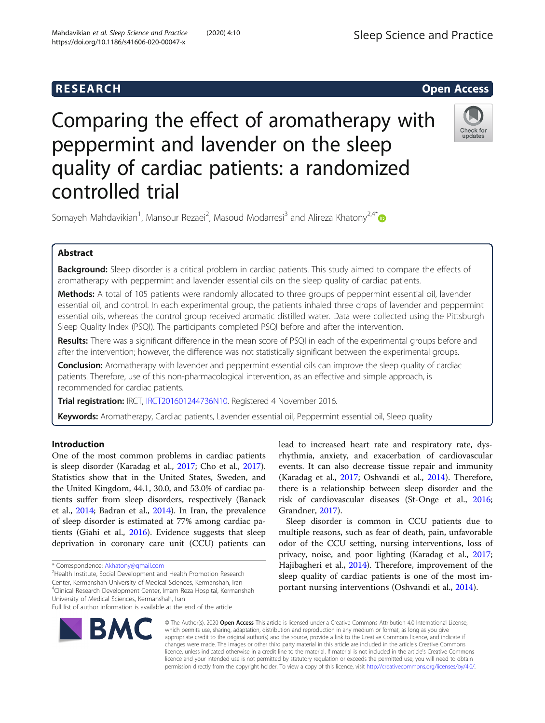

# Comparing the effect of aromatherapy with peppermint and lavender on the sleep quality of cardiac patients: a randomized controlled trial



Somayeh Mahdavikian<sup>1</sup>, Mansour Rezaei<sup>2</sup>, Masoud Modarresi<sup>3</sup> and Alireza Khatony<sup>2,4[\\*](https://orcid.org/0000-0003-3552-5539)</sup>

# Abstract

Background: Sleep disorder is a critical problem in cardiac patients. This study aimed to compare the effects of aromatherapy with peppermint and lavender essential oils on the sleep quality of cardiac patients.

Methods: A total of 105 patients were randomly allocated to three groups of peppermint essential oil, lavender essential oil, and control. In each experimental group, the patients inhaled three drops of lavender and peppermint essential oils, whereas the control group received aromatic distilled water. Data were collected using the Pittsburgh Sleep Quality Index (PSQI). The participants completed PSQI before and after the intervention.

Results: There was a significant difference in the mean score of PSQI in each of the experimental groups before and after the intervention; however, the difference was not statistically significant between the experimental groups.

**Conclusion:** Aromatherapy with lavender and peppermint essential oils can improve the sleep quality of cardiac patients. Therefore, use of this non-pharmacological intervention, as an effective and simple approach, is recommended for cardiac patients.

Trial registration: IRCT, [IRCT201601244736N10.](https://irct.ir/trial/5065) Registered 4 November 2016.

Keywords: Aromatherapy, Cardiac patients, Lavender essential oil, Peppermint essential oil, Sleep quality

# Introduction

One of the most common problems in cardiac patients is sleep disorder (Karadag et al., [2017](#page-7-0); Cho et al., [2017](#page-7-0)). Statistics show that in the United States, Sweden, and the United Kingdom, 44.1, 30.0, and 53.0% of cardiac patients suffer from sleep disorders, respectively (Banack et al., [2014;](#page-7-0) Badran et al., [2014\)](#page-7-0). In Iran, the prevalence of sleep disorder is estimated at 77% among cardiac patients (Giahi et al., [2016\)](#page-7-0). Evidence suggests that sleep deprivation in coronary care unit (CCU) patients can

<sup>2</sup>Health Institute, Social Development and Health Promotion Research Center, Kermanshah University of Medical Sciences, Kermanshah, Iran 4 Clinical Research Development Center, Imam Reza Hospital, Kermanshah University of Medical Sciences, Kermanshah, Iran

Full list of author information is available at the end of the article

lead to increased heart rate and respiratory rate, dysrhythmia, anxiety, and exacerbation of cardiovascular events. It can also decrease tissue repair and immunity (Karadag et al., [2017;](#page-7-0) Oshvandi et al., [2014\)](#page-7-0). Therefore, there is a relationship between sleep disorder and the risk of cardiovascular diseases (St-Onge et al., [2016](#page-7-0); Grandner, [2017\)](#page-7-0).

Sleep disorder is common in CCU patients due to multiple reasons, such as fear of death, pain, unfavorable odor of the CCU setting, nursing interventions, loss of privacy, noise, and poor lighting (Karadag et al., [2017](#page-7-0); Hajibagheri et al., [2014\)](#page-7-0). Therefore, improvement of the sleep quality of cardiac patients is one of the most important nursing interventions (Oshvandi et al., [2014](#page-7-0)).



© The Author(s). 2020 Open Access This article is licensed under a Creative Commons Attribution 4.0 International License, which permits use, sharing, adaptation, distribution and reproduction in any medium or format, as long as you give appropriate credit to the original author(s) and the source, provide a link to the Creative Commons licence, and indicate if changes were made. The images or other third party material in this article are included in the article's Creative Commons licence, unless indicated otherwise in a credit line to the material. If material is not included in the article's Creative Commons licence and your intended use is not permitted by statutory regulation or exceeds the permitted use, you will need to obtain permission directly from the copyright holder. To view a copy of this licence, visit [http://creativecommons.org/licenses/by/4.0/.](http://creativecommons.org/licenses/by/4.0/)

<sup>\*</sup> Correspondence: [Akhatony@gmail.com](mailto:Akhatony@gmail.com) <sup>2</sup>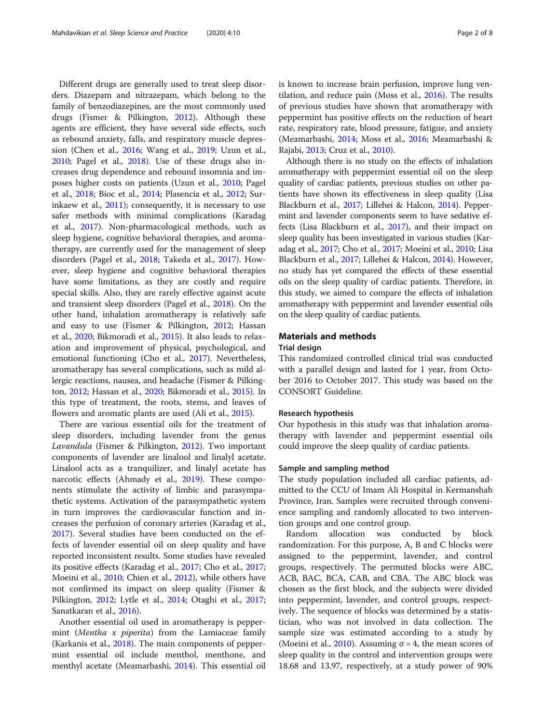Different drugs are generally used to treat sleep disorders. Diazepam and nitrazepam, which belong to the family of benzodiazepines, are the most commonly used drugs (Fismer & Pilkington, [2012\)](#page-7-0). Although these agents are efficient, they have several side effects, such as rebound anxiety, falls, and respiratory muscle depression (Chen et al., [2016](#page-7-0); Wang et al., [2019;](#page-7-0) Uzun et al., [2010](#page-7-0); Pagel et al., [2018](#page-7-0)). Use of these drugs also increases drug dependence and rebound insomnia and imposes higher costs on patients (Uzun et al., [2010;](#page-7-0) Pagel et al., [2018](#page-7-0); Bioc et al., [2014](#page-7-0); Plasencia et al., [2012](#page-7-0); Sur-inkaew et al., [2011\)](#page-7-0); consequently, it is necessary to use safer methods with minimal complications (Karadag et al., [2017\)](#page-7-0). Non-pharmacological methods, such as sleep hygiene, cognitive behavioral therapies, and aromatherapy, are currently used for the management of sleep disorders (Pagel et al., [2018;](#page-7-0) Takeda et al., [2017](#page-7-0)). However, sleep hygiene and cognitive behavioral therapies have some limitations, as they are costly and require special skills. Also, they are rarely effective against acute and transient sleep disorders (Pagel et al., [2018](#page-7-0)). On the other hand, inhalation aromatherapy is relatively safe and easy to use (Fismer & Pilkington, [2012](#page-7-0); Hassan et al., [2020](#page-7-0); Bikmoradi et al., [2015\)](#page-7-0). It also leads to relaxation and improvement of physical, psychological, and emotional functioning (Cho et al., [2017\)](#page-7-0). Nevertheless, aromatherapy has several complications, such as mild allergic reactions, nausea, and headache (Fismer & Pilkington, [2012](#page-7-0); Hassan et al., [2020;](#page-7-0) Bikmoradi et al., [2015](#page-7-0)). In this type of treatment, the roots, stems, and leaves of flowers and aromatic plants are used (Ali et al., [2015\)](#page-7-0).

There are various essential oils for the treatment of sleep disorders, including lavender from the genus Lavandula (Fismer & Pilkington, [2012](#page-7-0)). Two important components of lavender are linalool and linalyl acetate. Linalool acts as a tranquilizer, and linalyl acetate has narcotic effects (Ahmady et al., [2019](#page-7-0)). These components stimulate the activity of limbic and parasympathetic systems. Activation of the parasympathetic system in turn improves the cardiovascular function and increases the perfusion of coronary arteries (Karadag et al., [2017](#page-7-0)). Several studies have been conducted on the effects of lavender essential oil on sleep quality and have reported inconsistent results. Some studies have revealed its positive effects (Karadag et al., [2017;](#page-7-0) Cho et al., [2017](#page-7-0); Moeini et al., [2010](#page-7-0); Chien et al., [2012](#page-7-0)), while others have not confirmed its impact on sleep quality (Fismer & Pilkington, [2012;](#page-7-0) Lytle et al., [2014;](#page-7-0) Otaghi et al., [2017](#page-7-0); Sanatkaran et al., [2016](#page-7-0)).

Another essential oil used in aromatherapy is peppermint (Mentha  $x$  piperita) from the Lamiaceae family (Karkanis et al., [2018](#page-7-0)). The main components of peppermint essential oil include menthol, menthone, and menthyl acetate (Meamarbashi, [2014\)](#page-7-0). This essential oil is known to increase brain perfusion, improve lung ventilation, and reduce pain (Moss et al., [2016](#page-7-0)). The results of previous studies have shown that aromatherapy with peppermint has positive effects on the reduction of heart rate, respiratory rate, blood pressure, fatigue, and anxiety (Meamarbashi, [2014;](#page-7-0) Moss et al., [2016](#page-7-0); Meamarbashi & Rajabi, [2013](#page-7-0); Cruz et al., [2010\)](#page-7-0).

Although there is no study on the effects of inhalation aromatherapy with peppermint essential oil on the sleep quality of cardiac patients, previous studies on other patients have shown its effectiveness in sleep quality (Lisa Blackburn et al., [2017](#page-7-0); Lillehei & Halcon, [2014](#page-7-0)). Peppermint and lavender components seem to have sedative effects (Lisa Blackburn et al., [2017\)](#page-7-0), and their impact on sleep quality has been investigated in various studies (Karadag et al., [2017](#page-7-0); Cho et al., [2017;](#page-7-0) Moeini et al., [2010;](#page-7-0) Lisa Blackburn et al., [2017](#page-7-0); Lillehei & Halcon, [2014](#page-7-0)). However, no study has yet compared the effects of these essential oils on the sleep quality of cardiac patients. Therefore, in this study, we aimed to compare the effects of inhalation aromatherapy with peppermint and lavender essential oils on the sleep quality of cardiac patients.

# Materials and methods

# Trial design

This randomized controlled clinical trial was conducted with a parallel design and lasted for 1 year, from October 2016 to October 2017. This study was based on the CONSORT Guideline.

#### Research hypothesis

Our hypothesis in this study was that inhalation aromatherapy with lavender and peppermint essential oils could improve the sleep quality of cardiac patients.

# Sample and sampling method

The study population included all cardiac patients, admitted to the CCU of Imam Ali Hospital in Kermanshah Province, Iran. Samples were recruited through convenience sampling and randomly allocated to two intervention groups and one control group.

Random allocation was conducted by block randomization. For this purpose, A, B and C blocks were assigned to the peppermint, lavender, and control groups, respectively. The permuted blocks were ABC, ACB, BAC, BCA, CAB, and CBA. The ABC block was chosen as the first block, and the subjects were divided into peppermint, lavender, and control groups, respectively. The sequence of blocks was determined by a statistician, who was not involved in data collection. The sample size was estimated according to a study by (Moeini et al., [2010](#page-7-0)). Assuming  $\sigma = 4$ , the mean scores of sleep quality in the control and intervention groups were 18.68 and 13.97, respectively, at a study power of 90%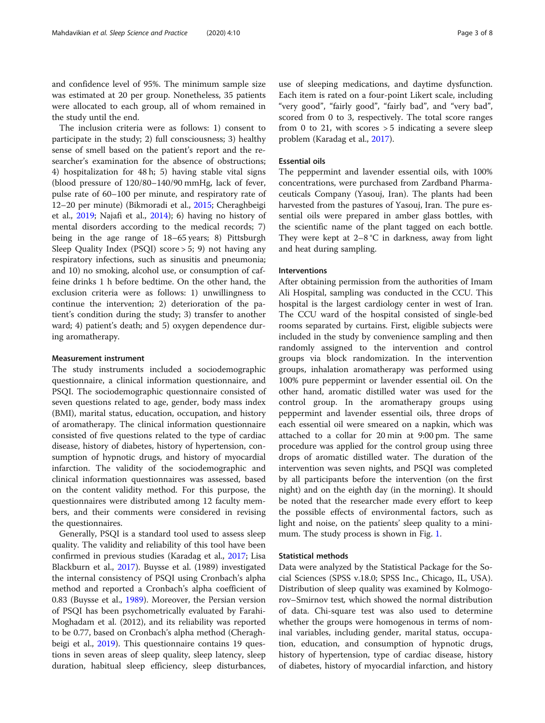and confidence level of 95%. The minimum sample size was estimated at 20 per group. Nonetheless, 35 patients were allocated to each group, all of whom remained in the study until the end.

The inclusion criteria were as follows: 1) consent to participate in the study; 2) full consciousness; 3) healthy sense of smell based on the patient's report and the researcher's examination for the absence of obstructions; 4) hospitalization for 48 h; 5) having stable vital signs (blood pressure of 120/80–140/90 mmHg, lack of fever, pulse rate of 60–100 per minute, and respiratory rate of 12–20 per minute) (Bikmoradi et al., [2015](#page-7-0); Cheraghbeigi et al., [2019](#page-7-0); Najafi et al., [2014\)](#page-7-0); 6) having no history of mental disorders according to the medical records; 7) being in the age range of 18–65 years; 8) Pittsburgh Sleep Quality Index (PSQI) score > 5; 9) not having any respiratory infections, such as sinusitis and pneumonia; and 10) no smoking, alcohol use, or consumption of caffeine drinks 1 h before bedtime. On the other hand, the exclusion criteria were as follows: 1) unwillingness to continue the intervention; 2) deterioration of the patient's condition during the study; 3) transfer to another ward; 4) patient's death; and 5) oxygen dependence during aromatherapy.

# Measurement instrument

The study instruments included a sociodemographic questionnaire, a clinical information questionnaire, and PSQI. The sociodemographic questionnaire consisted of seven questions related to age, gender, body mass index (BMI), marital status, education, occupation, and history of aromatherapy. The clinical information questionnaire consisted of five questions related to the type of cardiac disease, history of diabetes, history of hypertension, consumption of hypnotic drugs, and history of myocardial infarction. The validity of the sociodemographic and clinical information questionnaires was assessed, based on the content validity method. For this purpose, the questionnaires were distributed among 12 faculty members, and their comments were considered in revising the questionnaires.

Generally, PSQI is a standard tool used to assess sleep quality. The validity and reliability of this tool have been confirmed in previous studies (Karadag et al., [2017;](#page-7-0) Lisa Blackburn et al., [2017](#page-7-0)). Buysse et al. (1989) investigated the internal consistency of PSQI using Cronbach's alpha method and reported a Cronbach's alpha coefficient of 0.83 (Buysse et al., [1989\)](#page-7-0). Moreover, the Persian version of PSQI has been psychometrically evaluated by Farahi-Moghadam et al. (2012), and its reliability was reported to be 0.77, based on Cronbach's alpha method (Cheragh-beigi et al., [2019](#page-7-0)). This questionnaire contains 19 questions in seven areas of sleep quality, sleep latency, sleep duration, habitual sleep efficiency, sleep disturbances,

use of sleeping medications, and daytime dysfunction. Each item is rated on a four-point Likert scale, including "very good", "fairly good", "fairly bad", and "very bad", scored from 0 to 3, respectively. The total score ranges from 0 to 21, with scores  $> 5$  indicating a severe sleep problem (Karadag et al., [2017\)](#page-7-0).

# Essential oils

The peppermint and lavender essential oils, with 100% concentrations, were purchased from Zardband Pharmaceuticals Company (Yasouj, Iran). The plants had been harvested from the pastures of Yasouj, Iran. The pure essential oils were prepared in amber glass bottles, with the scientific name of the plant tagged on each bottle. They were kept at  $2-8$  °C in darkness, away from light and heat during sampling.

# Interventions

After obtaining permission from the authorities of Imam Ali Hospital, sampling was conducted in the CCU. This hospital is the largest cardiology center in west of Iran. The CCU ward of the hospital consisted of single-bed rooms separated by curtains. First, eligible subjects were included in the study by convenience sampling and then randomly assigned to the intervention and control groups via block randomization. In the intervention groups, inhalation aromatherapy was performed using 100% pure peppermint or lavender essential oil. On the other hand, aromatic distilled water was used for the control group. In the aromatherapy groups using peppermint and lavender essential oils, three drops of each essential oil were smeared on a napkin, which was attached to a collar for 20 min at 9:00 pm. The same procedure was applied for the control group using three drops of aromatic distilled water. The duration of the intervention was seven nights, and PSQI was completed by all participants before the intervention (on the first night) and on the eighth day (in the morning). It should be noted that the researcher made every effort to keep the possible effects of environmental factors, such as light and noise, on the patients' sleep quality to a mini-mum. The study process is shown in Fig. [1.](#page-3-0)

#### Statistical methods

Data were analyzed by the Statistical Package for the Social Sciences (SPSS v.18.0; SPSS Inc., Chicago, IL, USA). Distribution of sleep quality was examined by Kolmogorov–Smirnov test, which showed the normal distribution of data. Chi-square test was also used to determine whether the groups were homogenous in terms of nominal variables, including gender, marital status, occupation, education, and consumption of hypnotic drugs, history of hypertension, type of cardiac disease, history of diabetes, history of myocardial infarction, and history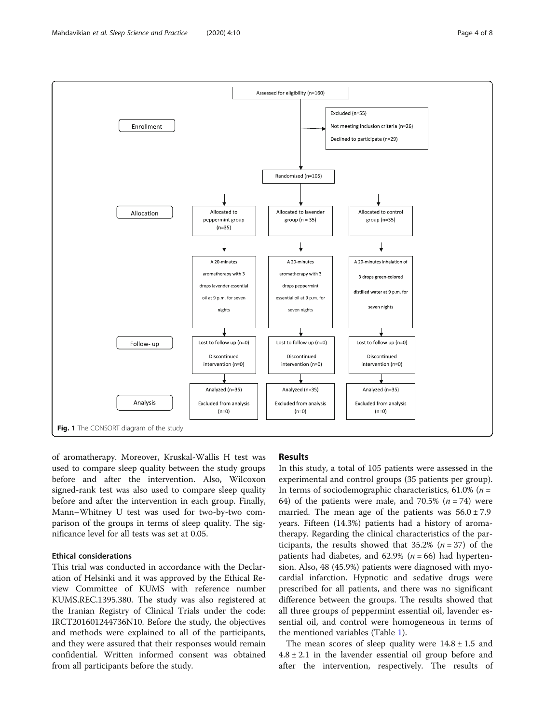<span id="page-3-0"></span>

of aromatherapy. Moreover, Kruskal-Wallis H test was used to compare sleep quality between the study groups before and after the intervention. Also, Wilcoxon signed-rank test was also used to compare sleep quality before and after the intervention in each group. Finally, Mann–Whitney U test was used for two-by-two comparison of the groups in terms of sleep quality. The significance level for all tests was set at 0.05.

# Ethical considerations

This trial was conducted in accordance with the Declaration of Helsinki and it was approved by the Ethical Review Committee of KUMS with reference number KUMS.REC.1395.380. The study was also registered at the Iranian Registry of Clinical Trials under the code: IRCT201601244736N10. Before the study, the objectives and methods were explained to all of the participants, and they were assured that their responses would remain confidential. Written informed consent was obtained from all participants before the study.

# Results

In this study, a total of 105 patients were assessed in the experimental and control groups (35 patients per group). In terms of sociodemographic characteristics, 61.0% ( $n =$ 64) of the patients were male, and 70.5%  $(n = 74)$  were married. The mean age of the patients was  $56.0 \pm 7.9$ years. Fifteen (14.3%) patients had a history of aromatherapy. Regarding the clinical characteristics of the participants, the results showed that  $35.2\%$  ( $n = 37$ ) of the patients had diabetes, and  $62.9\%$  ( $n = 66$ ) had hypertension. Also, 48 (45.9%) patients were diagnosed with myocardial infarction. Hypnotic and sedative drugs were prescribed for all patients, and there was no significant difference between the groups. The results showed that all three groups of peppermint essential oil, lavender essential oil, and control were homogeneous in terms of the mentioned variables (Table [1\)](#page-4-0).

The mean scores of sleep quality were  $14.8 \pm 1.5$  and  $4.8 \pm 2.1$  in the lavender essential oil group before and after the intervention, respectively. The results of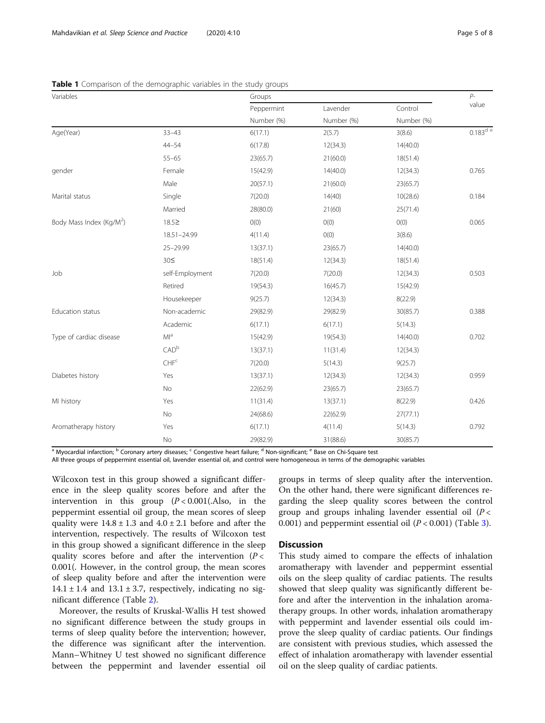| Variables                            |                                     | Groups     | $P-$       |                       |                                |
|--------------------------------------|-------------------------------------|------------|------------|-----------------------|--------------------------------|
|                                      |                                     | Peppermint | Lavender   | Control<br>Number (%) | value                          |
|                                      |                                     | Number (%) | Number (%) |                       |                                |
| Age(Year)                            | $33 - 43$                           | 6(17.1)    | 2(5.7)     | 3(8.6)                | $0.183^{\overline{d} \cdot e}$ |
|                                      | $44 - 54$                           | 6(17.8)    | 12(34.3)   | 14(40.0)              |                                |
|                                      | $55 - 65$                           | 23(65.7)   | 21(60.0)   | 18(51.4)              |                                |
| gender                               | Female                              | 15(42.9)   | 14(40.0)   | 12(34.3)              | 0.765                          |
|                                      | Male                                | 20(57.1)   | 21(60.0)   | 23(65.7)              |                                |
| Marital status                       | Single                              | 7(20.0)    | 14(40)     | 10(28.6)              | 0.184                          |
|                                      | Married                             | 28(80.0)   | 21(60)     | 25(71.4)              |                                |
| Body Mass Index (Kg/M <sup>2</sup> ) | 18.5≥                               | O(0)       | O(0)       | O(0)                  | 0.065                          |
|                                      | 18.51-24.99                         | 4(11.4)    | O(0)       | 3(8.6)                |                                |
|                                      | $25 - 29.99$                        | 13(37.1)   | 23(65.7)   | 14(40.0)              |                                |
|                                      | $30\leq$                            | 18(51.4)   | 12(34.3)   | 18(51.4)              |                                |
| Job                                  | self-Employment                     | 7(20.0)    | 7(20.0)    | 12(34.3)              | 0.503                          |
|                                      | Retired                             | 19(54.3)   | 16(45.7)   | 15(42.9)              |                                |
|                                      | Housekeeper                         | 9(25.7)    | 12(34.3)   | 8(22.9)               |                                |
| Education status                     | Non-academic                        | 29(82.9)   | 29(82.9)   | 30(85.7)              | 0.388                          |
|                                      | Academic                            | 6(17.1)    | 6(17.1)    | 5(14.3)               |                                |
| Type of cardiac disease              | $\mathsf{M}\mathsf{I}^{\mathsf{a}}$ | 15(42.9)   | 19(54.3)   | 14(40.0)              | 0.702                          |
|                                      | CAD <sup>b</sup>                    | 13(37.1)   | 11(31.4)   | 12(34.3)              |                                |
|                                      | $\mathsf{CHF}^{\mathsf{c}}$         | 7(20.0)    | 5(14.3)    | 9(25.7)               |                                |
| Diabetes history                     | Yes                                 | 13(37.1)   | 12(34.3)   | 12(34.3)              | 0.959                          |
|                                      | $\rm No$                            | 22(62.9)   | 23(65.7)   | 23(65.7)              |                                |
| MI history                           | Yes                                 | 11(31.4)   | 13(37.1)   | 8(22.9)               | 0.426                          |
|                                      | No                                  | 24(68.6)   | 22(62.9)   | 27(77.1)              |                                |
| Aromatherapy history                 | Yes                                 | 6(17.1)    | 4(11.4)    | 5(14.3)               | 0.792                          |
|                                      | $\rm No$                            | 29(82.9)   | 31(88.6)   | 30(85.7)              |                                |

<span id="page-4-0"></span>Table 1 Comparison of the demographic variables in the study groups

<sup>a</sup> Myocardial infarction; <sup>b</sup> Coronary artery diseases; <sup>c</sup> Congestive heart failure; <sup>d</sup> Non-significant; <sup>e</sup> Base on Chi-Square test

All three groups of peppermint essential oil, lavender essential oil, and control were homogeneous in terms of the demographic variables

Wilcoxon test in this group showed a significant difference in the sleep quality scores before and after the intervention in this group  $(P < 0.001$ (Also, in the peppermint essential oil group, the mean scores of sleep quality were  $14.8 \pm 1.3$  and  $4.0 \pm 2.1$  before and after the intervention, respectively. The results of Wilcoxon test in this group showed a significant difference in the sleep quality scores before and after the intervention ( $P <$ 0.001(. However, in the control group, the mean scores of sleep quality before and after the intervention were  $14.1 \pm 1.4$  and  $13.1 \pm 3.7$ , respectively, indicating no significant difference (Table [2\)](#page-5-0).

Moreover, the results of Kruskal-Wallis H test showed no significant difference between the study groups in terms of sleep quality before the intervention; however, the difference was significant after the intervention. Mann–Whitney U test showed no significant difference between the peppermint and lavender essential oil groups in terms of sleep quality after the intervention. On the other hand, there were significant differences regarding the sleep quality scores between the control group and groups inhaling lavender essential oil  $(P <$ 0.001) and peppermint essential oil  $(P < 0.001)$  (Table [3](#page-5-0)).

# **Discussion**

This study aimed to compare the effects of inhalation aromatherapy with lavender and peppermint essential oils on the sleep quality of cardiac patients. The results showed that sleep quality was significantly different before and after the intervention in the inhalation aromatherapy groups. In other words, inhalation aromatherapy with peppermint and lavender essential oils could improve the sleep quality of cardiac patients. Our findings are consistent with previous studies, which assessed the effect of inhalation aromatherapy with lavender essential oil on the sleep quality of cardiac patients.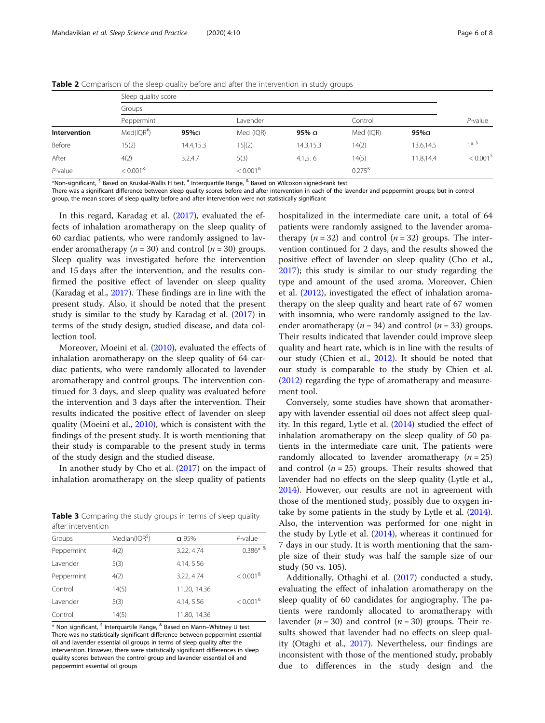|              | Sleep quality score    |           |                |           |                          |           |                      |
|--------------|------------------------|-----------|----------------|-----------|--------------------------|-----------|----------------------|
|              | Groups                 |           |                |           |                          |           |                      |
|              | Peppermint             |           | Lavender       |           | Control                  |           | $P$ -value           |
| Intervention | Med(IOR <sup>#</sup> ) | 95%ci     | Med (IQR)      | 95% ci    | Med (IQR)                | 95%ci     |                      |
| Before       | 15(2)                  | 14.4,15.3 | 15(2)          | 14.3,15.3 | 14(2)                    | 13.6,14.5 | $1*5$                |
| After        | 4(2)                   | 3.2,4.7   | 5(3)           | 4.1,5.6   | 14(5)                    | 11.8.14.4 | < 0.001 <sup>5</sup> |
| $P$ -value   | $< 0.001^{\&}$         |           | $< 0.001^{\&}$ |           | $0.275$ <sup>&amp;</sup> |           |                      |

<span id="page-5-0"></span>Table 2 Comparison of the sleep quality before and after the intervention in study groups

\*Non-significant, \$ Based on Kruskal-Wallis H test, # Interquartile Range, & Based on Wilcoxon signed-rank test

There was a significant difference between sleep quality scores before and after intervention in each of the lavender and peppermint groups; but in control group, the mean scores of sleep quality before and after intervention were not statistically significant

In this regard, Karadag et al. [\(2017\)](#page-7-0), evaluated the effects of inhalation aromatherapy on the sleep quality of 60 cardiac patients, who were randomly assigned to lavender aromatherapy ( $n = 30$ ) and control ( $n = 30$ ) groups. Sleep quality was investigated before the intervention and 15 days after the intervention, and the results confirmed the positive effect of lavender on sleep quality (Karadag et al., [2017\)](#page-7-0). These findings are in line with the present study. Also, it should be noted that the present study is similar to the study by Karadag et al. [\(2017\)](#page-7-0) in terms of the study design, studied disease, and data collection tool.

Moreover, Moeini et al. [\(2010\)](#page-7-0), evaluated the effects of inhalation aromatherapy on the sleep quality of 64 cardiac patients, who were randomly allocated to lavender aromatherapy and control groups. The intervention continued for 3 days, and sleep quality was evaluated before the intervention and 3 days after the intervention. Their results indicated the positive effect of lavender on sleep quality (Moeini et al., [2010](#page-7-0)), which is consistent with the findings of the present study. It is worth mentioning that their study is comparable to the present study in terms of the study design and the studied disease.

In another study by Cho et al. ([2017](#page-7-0)) on the impact of inhalation aromatherapy on the sleep quality of patients

Table 3 Comparing the study groups in terms of sleep quality after intervention

| Groups     | Median (IQR <sup>5</sup> ) | ci 95%       | $P$ -value     |
|------------|----------------------------|--------------|----------------|
| Peppermint | 4(2)                       | 3.22, 4.74   | $0.386*$ &     |
| Lavender   | 5(3)                       | 4.14, 5.56   |                |
| Peppermint | 4(2)                       | 3.22, 4.74   | $< 0.001^{\&}$ |
| Control    | 14(5)                      | 11.20, 14.36 |                |
| Lavender   | 5(3)                       | 4.14.5.56    | $< 0.001^{\&}$ |
| Control    | 14(5)                      | 11.80, 14.36 |                |
|            |                            |              |                |

\* Non significant, \$ Interquartile Range, & Based on Mann–Whitney U test There was no statistically significant difference between peppermint essential oil and lavender essential oil groups in terms of sleep quality after the intervention. However, there were statistically significant differences in sleep quality scores between the control group and lavender essential oil and peppermint essential oil groups

hospitalized in the intermediate care unit, a total of 64 patients were randomly assigned to the lavender aromatherapy  $(n = 32)$  and control  $(n = 32)$  groups. The intervention continued for 2 days, and the results showed the positive effect of lavender on sleep quality (Cho et al., [2017](#page-7-0)); this study is similar to our study regarding the type and amount of the used aroma. Moreover, Chien et al. [\(2012](#page-7-0)), investigated the effect of inhalation aromatherapy on the sleep quality and heart rate of 67 women with insomnia, who were randomly assigned to the lavender aromatherapy ( $n = 34$ ) and control ( $n = 33$ ) groups. Their results indicated that lavender could improve sleep quality and heart rate, which is in line with the results of our study (Chien et al., [2012\)](#page-7-0). It should be noted that our study is comparable to the study by Chien et al. ([2012\)](#page-7-0) regarding the type of aromatherapy and measurement tool.

Conversely, some studies have shown that aromatherapy with lavender essential oil does not affect sleep quality. In this regard, Lytle et al. ([2014](#page-7-0)) studied the effect of inhalation aromatherapy on the sleep quality of 50 patients in the intermediate care unit. The patients were randomly allocated to lavender aromatherapy  $(n = 25)$ and control  $(n = 25)$  groups. Their results showed that lavender had no effects on the sleep quality (Lytle et al., [2014](#page-7-0)). However, our results are not in agreement with those of the mentioned study, possibly due to oxygen intake by some patients in the study by Lytle et al. ([2014](#page-7-0)). Also, the intervention was performed for one night in the study by Lytle et al. ([2014\)](#page-7-0), whereas it continued for 7 days in our study. It is worth mentioning that the sample size of their study was half the sample size of our study (50 vs. 105).

Additionally, Othaghi et al. [\(2017\)](#page-7-0) conducted a study, evaluating the effect of inhalation aromatherapy on the sleep quality of 60 candidates for angiography. The patients were randomly allocated to aromatherapy with lavender ( $n = 30$ ) and control ( $n = 30$ ) groups. Their results showed that lavender had no effects on sleep quality (Otaghi et al., [2017](#page-7-0)). Nevertheless, our findings are inconsistent with those of the mentioned study, probably due to differences in the study design and the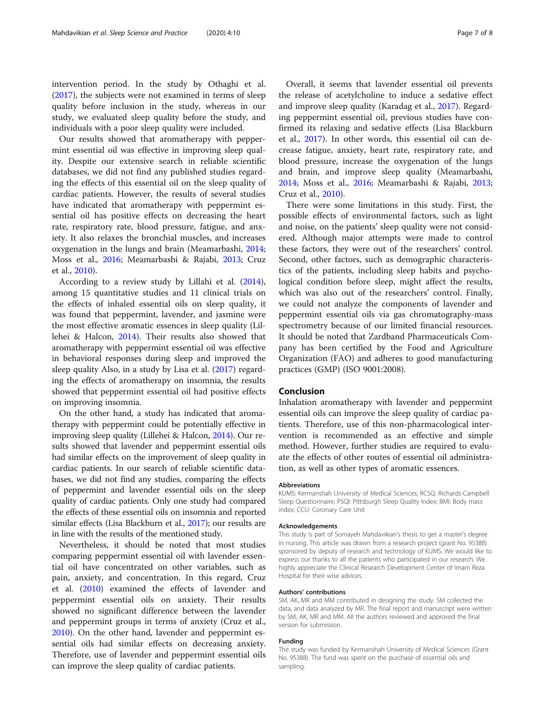intervention period. In the study by Othaghi et al. ([2017](#page-7-0)), the subjects were not examined in terms of sleep quality before inclusion in the study, whereas in our study, we evaluated sleep quality before the study, and individuals with a poor sleep quality were included.

Our results showed that aromatherapy with peppermint essential oil was effective in improving sleep quality. Despite our extensive search in reliable scientific databases, we did not find any published studies regarding the effects of this essential oil on the sleep quality of cardiac patients. However, the results of several studies have indicated that aromatherapy with peppermint essential oil has positive effects on decreasing the heart rate, respiratory rate, blood pressure, fatigue, and anxiety. It also relaxes the bronchial muscles, and increases oxygenation in the lungs and brain (Meamarbashi, [2014](#page-7-0); Moss et al., [2016;](#page-7-0) Meamarbashi & Rajabi, [2013](#page-7-0); Cruz et al., [2010](#page-7-0)).

According to a review study by Lillahi et al. ([2014](#page-7-0)), among 15 quantitative studies and 11 clinical trials on the effects of inhaled essential oils on sleep quality, it was found that peppermint, lavender, and jasmine were the most effective aromatic essences in sleep quality (Lillehei & Halcon, [2014\)](#page-7-0). Their results also showed that aromatherapy with peppermint essential oil was effective in behavioral responses during sleep and improved the sleep quality Also, in a study by Lisa et al. [\(2017\)](#page-7-0) regarding the effects of aromatherapy on insomnia, the results showed that peppermint essential oil had positive effects on improving insomnia.

On the other hand, a study has indicated that aromatherapy with peppermint could be potentially effective in improving sleep quality (Lillehei & Halcon, [2014\)](#page-7-0). Our results showed that lavender and peppermint essential oils had similar effects on the improvement of sleep quality in cardiac patients. In our search of reliable scientific databases, we did not find any studies, comparing the effects of peppermint and lavender essential oils on the sleep quality of cardiac patients. Only one study had compared the effects of these essential oils on insomnia and reported similar effects (Lisa Blackburn et al., [2017](#page-7-0)); our results are in line with the results of the mentioned study.

Nevertheless, it should be noted that most studies comparing peppermint essential oil with lavender essential oil have concentrated on other variables, such as pain, anxiety, and concentration. In this regard, Cruz et al. [\(2010](#page-7-0)) examined the effects of lavender and peppermint essential oils on anxiety. Their results showed no significant difference between the lavender and peppermint groups in terms of anxiety (Cruz et al., [2010](#page-7-0)). On the other hand, lavender and peppermint essential oils had similar effects on decreasing anxiety. Therefore, use of lavender and peppermint essential oils can improve the sleep quality of cardiac patients.

Overall, it seems that lavender essential oil prevents the release of acetylcholine to induce a sedative effect and improve sleep quality (Karadag et al., [2017](#page-7-0)). Regarding peppermint essential oil, previous studies have confirmed its relaxing and sedative effects (Lisa Blackburn et al., [2017](#page-7-0)). In other words, this essential oil can decrease fatigue, anxiety, heart rate, respiratory rate, and blood pressure, increase the oxygenation of the lungs and brain, and improve sleep quality (Meamarbashi, [2014](#page-7-0); Moss et al., [2016;](#page-7-0) Meamarbashi & Rajabi, [2013](#page-7-0); Cruz et al., [2010\)](#page-7-0).

There were some limitations in this study. First, the possible effects of environmental factors, such as light and noise, on the patients' sleep quality were not considered. Although major attempts were made to control these factors, they were out of the researchers' control. Second, other factors, such as demographic characteristics of the patients, including sleep habits and psychological condition before sleep, might affect the results, which was also out of the researchers' control. Finally, we could not analyze the components of lavender and peppermint essential oils via gas chromatography-mass spectrometry because of our limited financial resources. It should be noted that Zardband Pharmaceuticals Company has been certified by the Food and Agriculture Organization (FAO) and adheres to good manufacturing practices (GMP) (ISO 9001:2008).

# Conclusion

Inhalation aromatherapy with lavender and peppermint essential oils can improve the sleep quality of cardiac patients. Therefore, use of this non-pharmacological intervention is recommended as an effective and simple method. However, further studies are required to evaluate the effects of other routes of essential oil administration, as well as other types of aromatic essences.

#### Abbreviations

KUMS: Kermanshah University of Medical Sciences; RCSQ: Richards-Campbell Sleep Questionnaire; PSQI: Pittsburgh Sleep Quality Index; BMI: Body mass index; CCU: Coronary Care Unit

#### Acknowledgements

This study is part of Somayeh Mahdavikian's thesis to get a master's degree in nursing. This article was drawn from a research project (grant No. 95388) sponsored by deputy of research and technology of KUMS. We would like to express our thanks to all the patients who participated in our research. We highly appreciate the Clinical Research Development Center of Imam Reza Hospital for their wise advices.

#### Authors' contributions

SM, AK, MR and MM contributed in designing the study. SM collected the data, and data analyzed by MR. The final report and manuscript were written by SM, AK, MR and MM. All the authors reviewed and approved the final version for submission.

#### Funding

The study was funded by Kermanshah University of Medical Sciences (Grant No. 95388). The fund was spent on the purchase of essential oils and sampling.